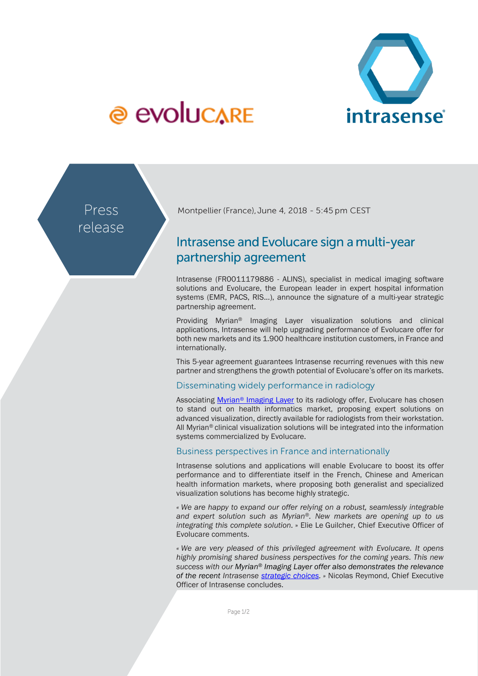

# @ evolucare

Press release Montpellier (France), June 4, 2018 - 5:45 pm CEST

# Intrasense and Evolucare sign a multi-year partnership agreement

Intrasense (FR0011179886 - ALINS), specialist in medical imaging software solutions and Evolucare, the European leader in expert hospital information systems (EMR, PACS, RIS...), announce the signature of a multi-year strategic partnership agreement.

Providing Myrian® Imaging Layer visualization solutions and clinical applications, Intrasense will help upgrading performance of Evolucare offer for both new markets and its 1.900 healthcare institution customers, in France and internationally.

This 5-year agreement guarantees Intrasense recurring revenues with this new partner and strengthens the growth potential of Evolucare's offer on its markets.

## Disseminating widely performance in radiology

Associating Myrian<sup>®</sup> [Imaging Layer](http://www.intrasense.fr/myrian-imaging-layer/) to its radiology offer, Evolucare has chosen to stand out on health informatics market, proposing expert solutions on advanced visualization, directly available for radiologists from their workstation. All Myrian<sup>®</sup> clinical visualization solutions will be integrated into the information systems commercialized by Evolucare.

## Business perspectives in France and internationally

Intrasense solutions and applications will enable Evolucare to boost its offer performance and to differentiate itself in the French, Chinese and American health information markets, where proposing both generalist and specialized visualization solutions has become highly strategic.

*« We are happy to expand our offer relying on a robust, seamlessly integrable and expert solution such as Myrian®. New markets are opening up to us integrating this complete solution.* » Elie Le Guilcher, Chief Executive Officer of Evolucare comments.

*« We are very pleased of this privileged agreement with Evolucare. It opens highly promising shared business perspectives for the coming years. This new success with our Myrian® Imaging Layer offer also demonstrates the relevance of the recent Intrasense [strategic choices.](http://www.intrasense.fr/wp-content/uploads/2017/09/press-release_Strategy2017-20170928-EN.pdf) »* Nicolas Reymond, Chief Executive Officer of Intrasense concludes.